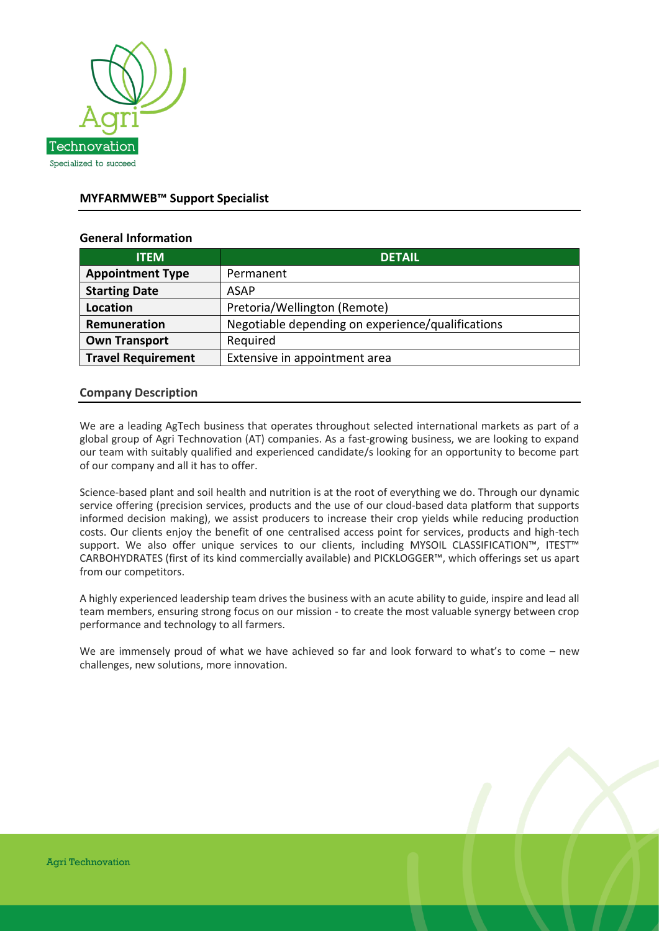

# **MYFARMWEB™ Support Specialist**

## **General Information**

| <b>ITEM</b>               | <b>DETAIL</b>                                     |
|---------------------------|---------------------------------------------------|
| <b>Appointment Type</b>   | Permanent                                         |
| <b>Starting Date</b>      | <b>ASAP</b>                                       |
| <b>Location</b>           | Pretoria/Wellington (Remote)                      |
| Remuneration              | Negotiable depending on experience/qualifications |
| <b>Own Transport</b>      | Required                                          |
| <b>Travel Requirement</b> | Extensive in appointment area                     |

### **Company Description**

We are a leading AgTech business that operates throughout selected international markets as part of a global group of Agri Technovation (AT) companies. As a fast-growing business, we are looking to expand our team with suitably qualified and experienced candidate/s looking for an opportunity to become part of our company and all it has to offer.

Science-based plant and soil health and nutrition is at the root of everything we do. Through our dynamic service offering (precision services, products and the use of our cloud-based data platform that supports informed decision making), we assist producers to increase their crop yields while reducing production costs. Our clients enjoy the benefit of one centralised access point for services, products and high-tech support. We also offer unique services to our clients, including MYSOIL CLASSIFICATION™, ITEST™ CARBOHYDRATES (first of its kind commercially available) and PICKLOGGER™, which offerings set us apart from our competitors.

A highly experienced leadership team drives the business with an acute ability to guide, inspire and lead all team members, ensuring strong focus on our mission - to create the most valuable synergy between crop performance and technology to all farmers.

We are immensely proud of what we have achieved so far and look forward to what's to come – new challenges, new solutions, more innovation.